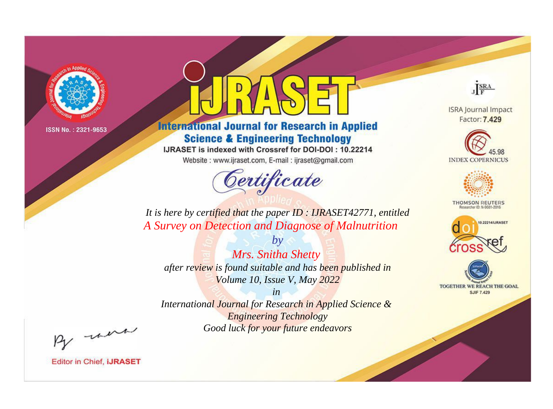

# **International Journal for Research in Applied Science & Engineering Technology**

IJRASET is indexed with Crossref for DOI-DOI: 10.22214

Website: www.ijraset.com, E-mail: ijraset@gmail.com



JERA

**ISRA Journal Impact** Factor: 7.429





**THOMSON REUTERS** 



TOGETHER WE REACH THE GOAL **SJIF 7.429** 

*It is here by certified that the paper ID : IJRASET42771, entitled A Survey on Detection and Diagnose of Malnutrition*

*Mrs. Snitha Shetty after review is found suitable and has been published in Volume 10, Issue V, May 2022*

*by*

*in* 

*International Journal for Research in Applied Science & Engineering Technology Good luck for your future endeavors*

By morn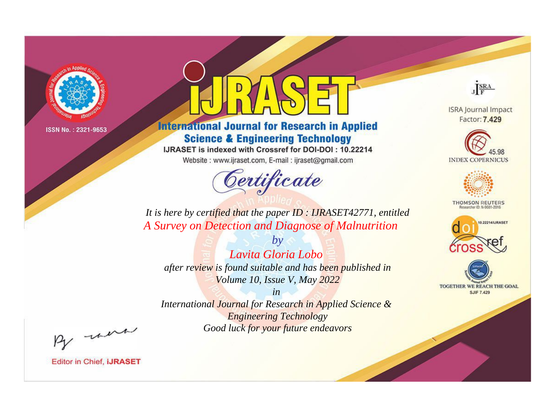

# **International Journal for Research in Applied Science & Engineering Technology**

IJRASET is indexed with Crossref for DOI-DOI: 10.22214

Website: www.ijraset.com, E-mail: ijraset@gmail.com



JERA

**ISRA Journal Impact** Factor: 7.429





**THOMSON REUTERS** 



TOGETHER WE REACH THE GOAL **SJIF 7.429** 

*It is here by certified that the paper ID : IJRASET42771, entitled A Survey on Detection and Diagnose of Malnutrition*

*by Lavita Gloria Lobo after review is found suitable and has been published in Volume 10, Issue V, May 2022*

*in* 

*International Journal for Research in Applied Science & Engineering Technology Good luck for your future endeavors*

By morn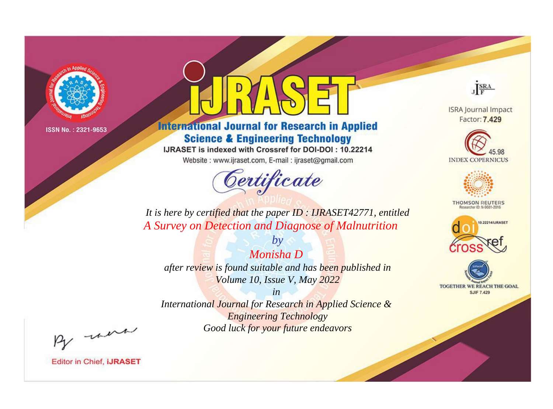

# **International Journal for Research in Applied Science & Engineering Technology**

IJRASET is indexed with Crossref for DOI-DOI: 10.22214

Website: www.ijraset.com, E-mail: ijraset@gmail.com



JERA

**ISRA Journal Impact** Factor: 7.429





**THOMSON REUTERS** 



TOGETHER WE REACH THE GOAL **SJIF 7.429** 

*It is here by certified that the paper ID : IJRASET42771, entitled A Survey on Detection and Diagnose of Malnutrition*

*Monisha D after review is found suitable and has been published in Volume 10, Issue V, May 2022*

*by*

*in* 

*International Journal for Research in Applied Science & Engineering Technology Good luck for your future endeavors*

By morn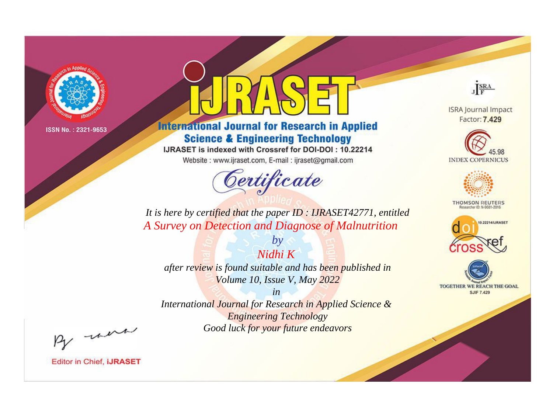

# **International Journal for Research in Applied Science & Engineering Technology**

IJRASET is indexed with Crossref for DOI-DOI: 10.22214

Website: www.ijraset.com, E-mail: ijraset@gmail.com



JERA

**ISRA Journal Impact** Factor: 7.429





**THOMSON REUTERS** 



TOGETHER WE REACH THE GOAL **SJIF 7.429** 

*It is here by certified that the paper ID : IJRASET42771, entitled A Survey on Detection and Diagnose of Malnutrition*

*Nidhi K after review is found suitable and has been published in Volume 10, Issue V, May 2022*

*by*

*in* 

*International Journal for Research in Applied Science & Engineering Technology Good luck for your future endeavors*

By morn